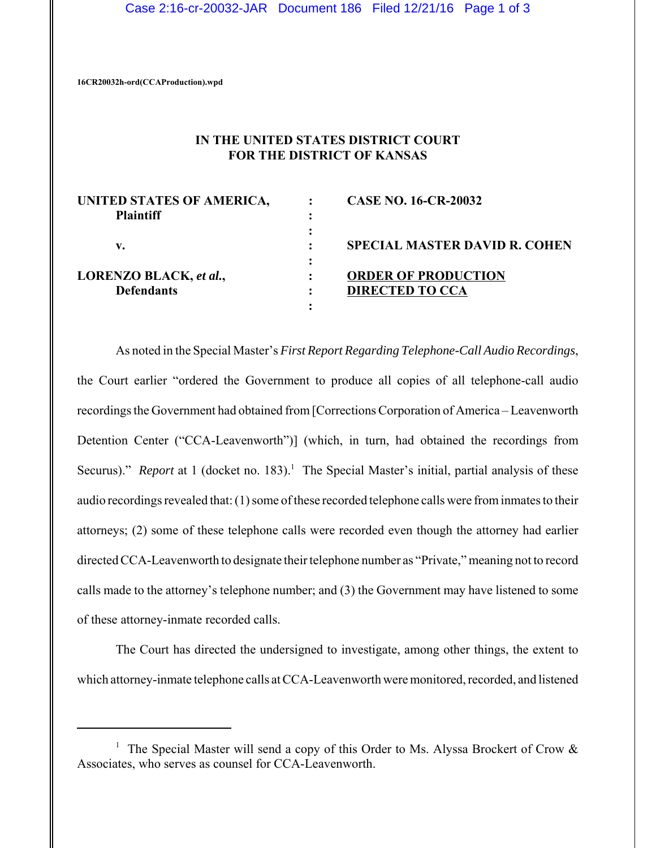### Case 2:16-cr-20032-JAR Document 186 Filed 12/21/16 Page 1 of 3

**16CR20032h-ord(CCAProduction).wpd**

# **IN THE UNITED STATES DISTRICT COURT FOR THE DISTRICT OF KANSAS**

| UNITED STATES OF AMERICA,<br><b>Plaintiff</b> | <b>CASE NO. 16-CR-20032</b>                          |
|-----------------------------------------------|------------------------------------------------------|
| v.                                            | <b>SPECIAL MASTER DAVID R. COHEN</b>                 |
| LORENZO BLACK, et al.,<br><b>Defendants</b>   | <b>ORDER OF PRODUCTION</b><br><b>DIRECTED TO CCA</b> |
|                                               |                                                      |

As noted in the Special Master's *First Report Regarding Telephone-Call Audio Recordings*, the Court earlier "ordered the Government to produce all copies of all telephone-call audio recordings the Government had obtained from [Corrections Corporation of America – Leavenworth Detention Center ("CCA-Leavenworth")] (which, in turn, had obtained the recordings from Securus)." *Report* at 1 (docket no. 183).<sup>1</sup> The Special Master's initial, partial analysis of these audio recordings revealed that: (1) some of these recorded telephone calls were from inmates to their attorneys; (2) some of these telephone calls were recorded even though the attorney had earlier directed CCA-Leavenworth to designate their telephone number as "Private," meaning not to record calls made to the attorney's telephone number; and (3) the Government may have listened to some of these attorney-inmate recorded calls.

The Court has directed the undersigned to investigate, among other things, the extent to which attorney-inmate telephone calls at CCA-Leavenworth were monitored, recorded, and listened

<sup>&</sup>lt;sup>1</sup> The Special Master will send a copy of this Order to Ms. Alyssa Brockert of Crow & Associates, who serves as counsel for CCA-Leavenworth.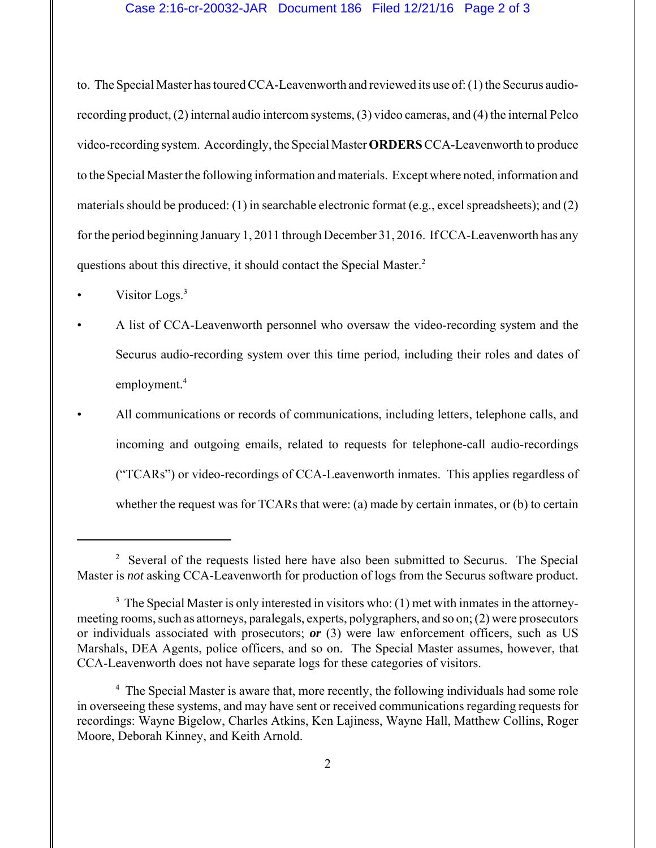### Case 2:16-cr-20032-JAR Document 186 Filed 12/21/16 Page 2 of 3

to. The Special Master has toured CCA-Leavenworth and reviewed its use of: (1) the Securus audiorecording product, (2) internal audio intercom systems, (3) video cameras, and (4) the internal Pelco video-recording system. Accordingly, the Special Master **ORDERS** CCA-Leavenworth to produce to the Special Master the following information and materials. Except where noted, information and materials should be produced: (1) in searchable electronic format (e.g., excel spreadsheets); and (2) for the period beginning January 1, 2011 through December 31, 2016. If CCA-Leavenworth has any questions about this directive, it should contact the Special Master.<sup>2</sup>

- Visitor Logs.<sup>3</sup>
- A list of CCA-Leavenworth personnel who oversaw the video-recording system and the Securus audio-recording system over this time period, including their roles and dates of employment.<sup>4</sup>
- All communications or records of communications, including letters, telephone calls, and incoming and outgoing emails, related to requests for telephone-call audio-recordings ("TCARs") or video-recordings of CCA-Leavenworth inmates. This applies regardless of whether the request was for TCARs that were: (a) made by certain inmates, or (b) to certain

<sup>&</sup>lt;sup>2</sup> Several of the requests listed here have also been submitted to Securus. The Special Master is *not* asking CCA-Leavenworth for production of logs from the Securus software product.

 $3$  The Special Master is only interested in visitors who: (1) met with inmates in the attorneymeeting rooms, such as attorneys, paralegals, experts, polygraphers, and so on; (2) were prosecutors or individuals associated with prosecutors; *or* (3) were law enforcement officers, such as US Marshals, DEA Agents, police officers, and so on. The Special Master assumes, however, that CCA-Leavenworth does not have separate logs for these categories of visitors.

<sup>&</sup>lt;sup>4</sup> The Special Master is aware that, more recently, the following individuals had some role in overseeing these systems, and may have sent or received communications regarding requests for recordings: Wayne Bigelow, Charles Atkins, Ken Lajiness, Wayne Hall, Matthew Collins, Roger Moore, Deborah Kinney, and Keith Arnold.